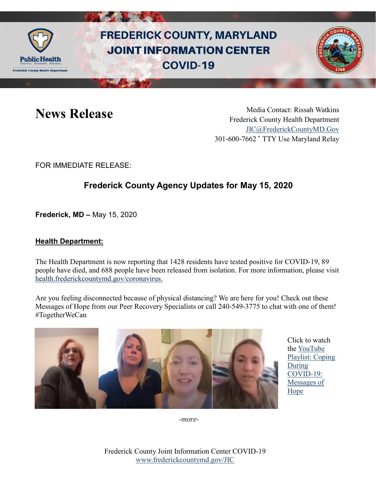

# **FREDERICK COUNTY, MARYLAND JOINT INFORMATION CENTER COVID-19**



News Release Media Contact: Rissah Watkins Frederick County Health Department [JIC@FrederickCountyMD.Gov](mailto:JIC@FrederickCountyMD.Gov) 301-600-7662 • TTY Use Maryland Relay

FOR IMMEDIATE RELEASE:

## **Frederick County Agency Updates for May 15, 2020**

**Frederick, MD –** May 15, 2020

### **Health Department:**

The Health Department is now reporting that 1428 residents have tested positive for COVID-19, 89 people have died, and 688 people have been released from isolation. For more information, please visit [health.frederickcountymd.gov/coronavirus.](https://health.frederickcountymd.gov/614/Novel-Coronavirus-COVID-19)

Are you feeling disconnected because of physical distancing? We are here for you! Check out these Messages of Hope from our Peer Recovery Specialists or call 240-549-3775 to chat with one of them! #TogetherWeCan



Click to watch the [YouTube](https://www.youtube.com/watch?v=iUhUYq7uVNY&list=PLjukUnsaYf_Rw7HlXrc9HZRR1-n_S5YWO)  [Playlist: Coping](https://www.youtube.com/watch?v=iUhUYq7uVNY&list=PLjukUnsaYf_Rw7HlXrc9HZRR1-n_S5YWO)  [During](https://www.youtube.com/watch?v=iUhUYq7uVNY&list=PLjukUnsaYf_Rw7HlXrc9HZRR1-n_S5YWO)  [COVID-19:](https://www.youtube.com/watch?v=iUhUYq7uVNY&list=PLjukUnsaYf_Rw7HlXrc9HZRR1-n_S5YWO)  [Messages of](https://www.youtube.com/watch?v=iUhUYq7uVNY&list=PLjukUnsaYf_Rw7HlXrc9HZRR1-n_S5YWO)  [Hope](https://www.youtube.com/watch?v=iUhUYq7uVNY&list=PLjukUnsaYf_Rw7HlXrc9HZRR1-n_S5YWO)

*-more-*

Frederick County Joint Information Center COVID-19 [www.frederickcountymd.gov/JIC](https://frederickcountymd.gov/JIC)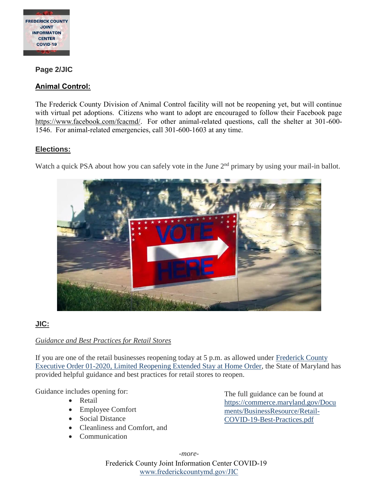

**Page 2/JIC**

#### **Animal Control:**

The Frederick County Division of Animal Control facility will not be reopening yet, but will continue with virtual pet adoptions. Citizens who want to adopt are encouraged to follow their Facebook page [https://www.facebook.com/fcacmd/.](https://www.facebook.com/fcacmd/) For other animal-related questions, call the shelter at 301-600- 1546. For animal-related emergencies, call 301-600-1603 at any time.

#### **Elections:**

Watch a quick PSA about how you can safely vote in the June 2<sup>nd</sup> primary by using your mail-in ballot.



### **JIC:**

#### *Guidance and Best Practices for Retail Stores*

If you are one of the retail businesses reopening today at 5 p.m. as allowed under [Frederick County](https://www.frederickcountymd.gov/ArchiveCenter/ViewFile/Item/11625)  [Executive Order 01-2020, Limited Reopening Extended Stay at Home Order,](https://www.frederickcountymd.gov/ArchiveCenter/ViewFile/Item/11625) the State of Maryland has provided helpful guidance and best practices for retail stores to reopen.

Guidance includes opening for:

- Retail
- Employee Comfort
- Social Distance
- Cleanliness and Comfort, and
- Communication

The full guidance can be found at [https://commerce.maryland.gov/Docu](https://commerce.maryland.gov/Documents/BusinessResource/Retail-COVID-19-Best-Practices.pdf) [ments/BusinessResource/Retail-](https://commerce.maryland.gov/Documents/BusinessResource/Retail-COVID-19-Best-Practices.pdf)[COVID-19-Best-Practices.pdf](https://commerce.maryland.gov/Documents/BusinessResource/Retail-COVID-19-Best-Practices.pdf)

*-more-*

Frederick County Joint Information Center COVID-19 [www.frederickcountymd.gov/JIC](https://frederickcountymd.gov/JIC)